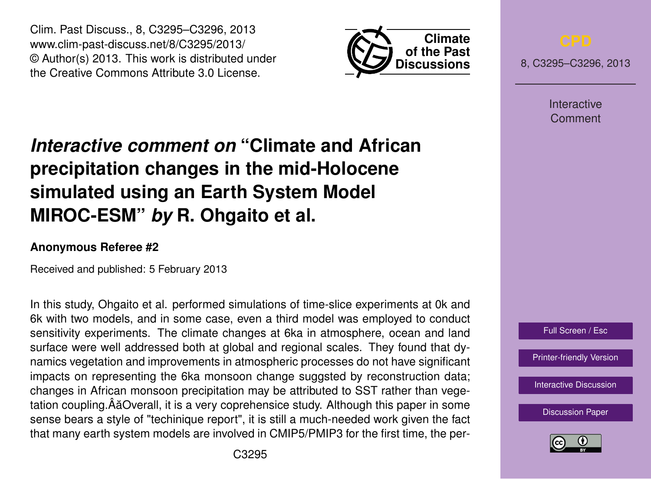Clim. Past Discuss., 8, C3295–C3296, 2013 www.clim-past-discuss.net/8/C3295/2013/ © Author(s) 2013. This work is distributed under the Creative Commons Attribute 3.0 License.



8, C3295–C3296, 2013

Interactive Comment

## *Interactive comment on* **"Climate and African precipitation changes in the mid-Holocene simulated using an Earth System Model MIROC-ESM"** *by* **R. Ohgaito et al.**

## **Anonymous Referee #2**

Received and published: 5 February 2013

In this study, Ohgaito et al. performed simulations of time-slice experiments at 0k and 6k with two models, and in some case, even a third model was employed to conduct sensitivity experiments. The climate changes at 6ka in atmosphere, ocean and land surface were well addressed both at global and regional scales. They found that dynamics vegetation and improvements in atmospheric processes do not have significant impacts on representing the 6ka monsoon change suggsted by reconstruction data; changes in African monsoon precipitation may be attributed to SST rather than vegetation coupling. ÂăOverall, it is a very coprehensice study. Although this paper in some sense bears a style of "techinique report", it is still a much-needed work given the fact that many earth system models are involved in CMIP5/PMIP3 for the first time, the per-